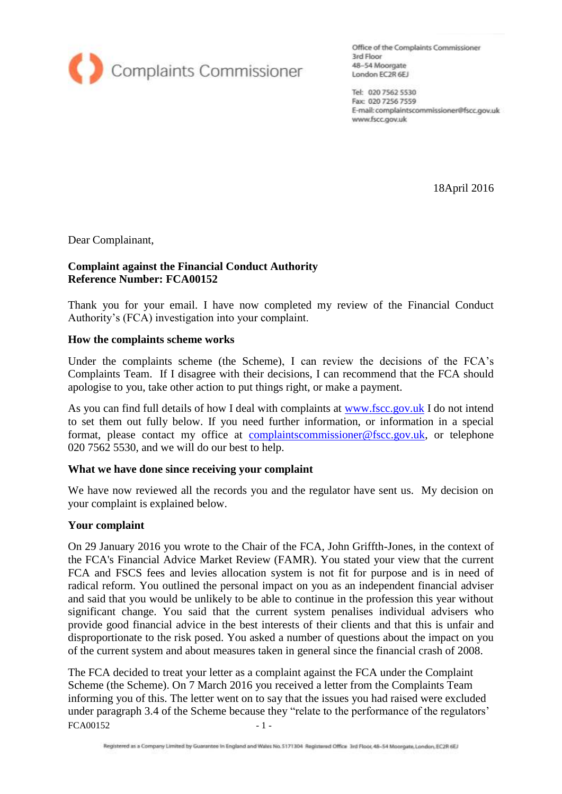

Office of the Complaints Commissioner 3rd Floor 48-54 Moorgate London EC2R 6EJ

Tel: 020 7562 5530 Fax: 020 7256 7559 E-mail: complaintscommissioner@fscc.gov.uk www.fscc.gov.uk

18April 2016

Dear Complainant,

### **Complaint against the Financial Conduct Authority Reference Number: FCA00152**

Thank you for your email. I have now completed my review of the Financial Conduct Authority's (FCA) investigation into your complaint.

#### **How the complaints scheme works**

Under the complaints scheme (the Scheme), I can review the decisions of the FCA's Complaints Team. If I disagree with their decisions, I can recommend that the FCA should apologise to you, take other action to put things right, or make a payment.

As you can find full details of how I deal with complaints at [www.fscc.gov.uk](http://www.fscc.gov.uk/) I do not intend to set them out fully below. If you need further information, or information in a special format, please contact my office at [complaintscommissioner@fscc.gov.uk,](mailto:complaintscommissioner@fscc.gov.uk) or telephone 020 7562 5530, and we will do our best to help.

#### **What we have done since receiving your complaint**

We have now reviewed all the records you and the regulator have sent us. My decision on your complaint is explained below.

#### **Your complaint**

On 29 January 2016 you wrote to the Chair of the FCA, John Griffth-Jones, in the context of the FCA's Financial Advice Market Review (FAMR). You stated your view that the current FCA and FSCS fees and levies allocation system is not fit for purpose and is in need of radical reform. You outlined the personal impact on you as an independent financial adviser and said that you would be unlikely to be able to continue in the profession this year without significant change. You said that the current system penalises individual advisers who provide good financial advice in the best interests of their clients and that this is unfair and disproportionate to the risk posed. You asked a number of questions about the impact on you of the current system and about measures taken in general since the financial crash of 2008.

 $FCA00152$  - 1 -The FCA decided to treat your letter as a complaint against the FCA under the Complaint Scheme (the Scheme). On 7 March 2016 you received a letter from the Complaints Team informing you of this. The letter went on to say that the issues you had raised were excluded under paragraph 3.4 of the Scheme because they "relate to the performance of the regulators'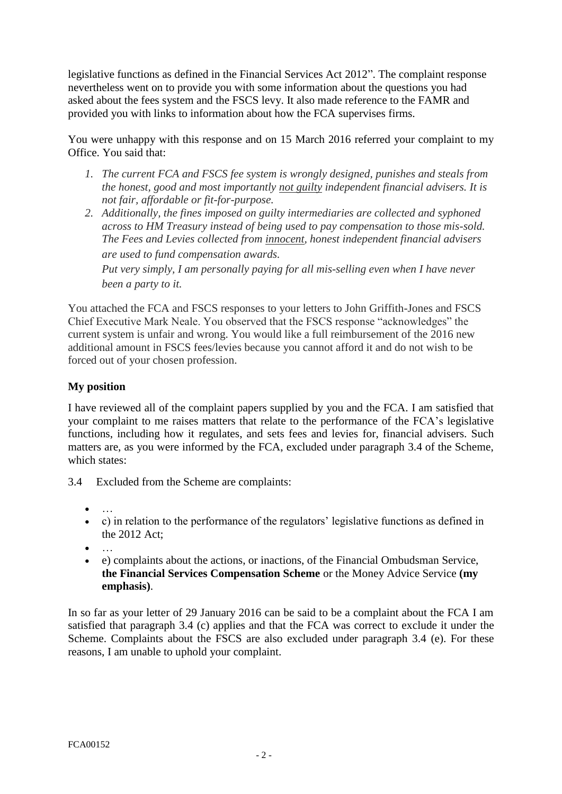legislative functions as defined in the Financial Services Act 2012". The complaint response nevertheless went on to provide you with some information about the questions you had asked about the fees system and the FSCS levy. It also made reference to the FAMR and provided you with links to information about how the FCA supervises firms.

You were unhappy with this response and on 15 March 2016 referred your complaint to my Office. You said that:

- *1. The current FCA and FSCS fee system is wrongly designed, punishes and steals from the honest, good and most importantly not guilty independent financial advisers. It is not fair, affordable or fit-for-purpose.*
- *2. Additionally, the fines imposed on guilty intermediaries are collected and syphoned across to HM Treasury instead of being used to pay compensation to those mis-sold. The Fees and Levies collected from innocent, honest independent financial advisers are used to fund compensation awards.*

*Put very simply, I am personally paying for all mis-selling even when I have never been a party to it.*

You attached the FCA and FSCS responses to your letters to John Griffith-Jones and FSCS Chief Executive Mark Neale. You observed that the FSCS response "acknowledges" the current system is unfair and wrong. You would like a full reimbursement of the 2016 new additional amount in FSCS fees/levies because you cannot afford it and do not wish to be forced out of your chosen profession.

# **My position**

I have reviewed all of the complaint papers supplied by you and the FCA. I am satisfied that your complaint to me raises matters that relate to the performance of the FCA's legislative functions, including how it regulates, and sets fees and levies for, financial advisers. Such matters are, as you were informed by the FCA, excluded under paragraph 3.4 of the Scheme, which states:

- 3.4 Excluded from the Scheme are complaints:
	- …<br>……
	- c) in relation to the performance of the regulators' legislative functions as defined in the 2012 Act;
	- …<br>……
	- e) complaints about the actions, or inactions, of the Financial Ombudsman Service, **the Financial Services Compensation Scheme** or the Money Advice Service **(my emphasis)**.

In so far as your letter of 29 January 2016 can be said to be a complaint about the FCA I am satisfied that paragraph 3.4 (c) applies and that the FCA was correct to exclude it under the Scheme. Complaints about the FSCS are also excluded under paragraph 3.4 (e). For these reasons, I am unable to uphold your complaint.